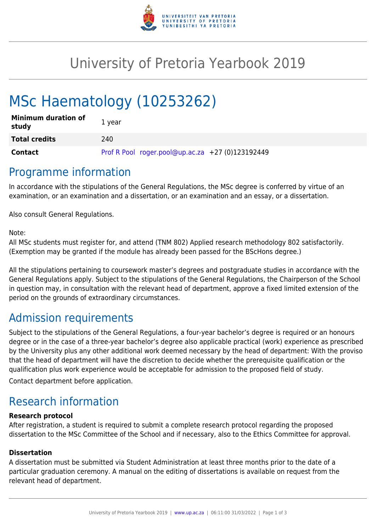

## University of Pretoria Yearbook 2019

# MSc Haematology (10253262)

| <b>Minimum duration of</b><br>study | 1 year                                           |
|-------------------------------------|--------------------------------------------------|
| <b>Total credits</b>                | 240                                              |
| Contact                             | Prof R Pool roger.pool@up.ac.za +27 (0)123192449 |

### Programme information

In accordance with the stipulations of the General Regulations, the MSc degree is conferred by virtue of an examination, or an examination and a dissertation, or an examination and an essay, or a dissertation.

Also consult General Regulations.

Note:

All MSc students must register for, and attend (TNM 802) Applied research methodology 802 satisfactorily. (Exemption may be granted if the module has already been passed for the BScHons degree.)

All the stipulations pertaining to coursework master's degrees and postgraduate studies in accordance with the General Regulations apply. Subject to the stipulations of the General Regulations, the Chairperson of the School in question may, in consultation with the relevant head of department, approve a fixed limited extension of the period on the grounds of extraordinary circumstances.

### Admission requirements

Subject to the stipulations of the General Regulations, a four-year bachelor's degree is required or an honours degree or in the case of a three-year bachelor's degree also applicable practical (work) experience as prescribed by the University plus any other additional work deemed necessary by the head of department: With the proviso that the head of department will have the discretion to decide whether the prerequisite qualification or the qualification plus work experience would be acceptable for admission to the proposed field of study.

Contact department before application.

### Research information

#### **Research protocol**

After registration, a student is required to submit a complete research protocol regarding the proposed dissertation to the MSc Committee of the School and if necessary, also to the Ethics Committee for approval.

#### **Dissertation**

A dissertation must be submitted via Student Administration at least three months prior to the date of a particular graduation ceremony. A manual on the editing of dissertations is available on request from the relevant head of department.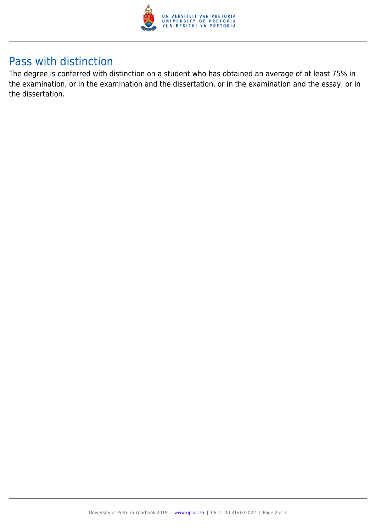

### Pass with distinction

The degree is conferred with distinction on a student who has obtained an average of at least 75% in the examination, or in the examination and the dissertation, or in the examination and the essay, or in the dissertation.